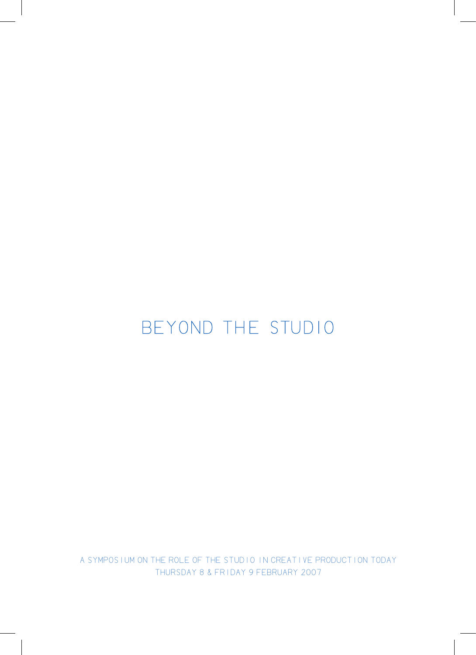# BEYOND THE STUDIO

A  SYMPOSIUM  ON  THE  ROLE  OF  THE  STUDIO  IN  CREATIVE  PRODUCTION  TODAY THURSDAY  8  &  FRIDAY  9  FEBRUARY  2007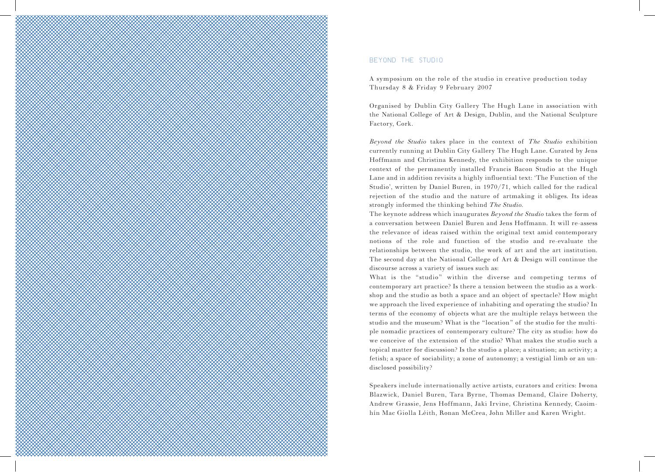

## BEYOND THE STUDIO

A symposium on the role of the studio in creative production today Thursday 8 & Friday 9 February 2007

Organised by Dublin City Gallery The Hugh Lane in association with the National College of Art & Design, Dublin, and the National Sculpture Factory, Cork.

*Beyond the Studio* takes place in the context of *The Studio* exhibition currently running at Dublin City Gallery The Hugh Lane. Curated by Jens Hoffmann and Christina Kennedy, the exhibition responds to the unique context of the permanently installed Francis Bacon Studio at the Hugh Lane and in addition revisits a highly influential text: 'The Function of the Studio', written by Daniel Buren, in 1970/71, which called for the radical rejection of the studio and the nature of artmaking it obliges. Its ideas strongly informed the thinking behind *The Studio.*

The keynote address which inaugurates *Beyond the Studio* takes the form of a conversation between Daniel Buren and Jens Hoffmann. It will re-assess the relevance of ideas raised within the original text amid contemporary notions of the role and function of the studio and re-evaluate the relationships between the studio, the work of art and the art institution. The second day at the National College of Art & Design will continue the discourse across a variety of issues such as:

What is the "studio" within the diverse and competing terms of contemporary art practice? Is there a tension between the studio as a workshop and the studio as both a space and an object of spectacle? How might we approach the lived experience of inhabiting and operating the studio? In terms of the economy of objects what are the multiple relays between the studio and the museum? What is the "location" of the studio for the multiple nomadic practices of contemporary culture? The city as studio: how do we conceive of the extension of the studio? What makes the studio such a topical matter for discussion? Is the studio a place; a situation; an activity; a fetish; a space of sociability; a zone of autonomy; a vestigial limb or an undisclosed possibility?

Speakers include internationally active artists, curators and critics: Iwona Blazwick, Daniel Buren, Tara Byrne, Thomas Demand, Claire Doherty, Andrew Grassie, Jens Hoffmann, Jaki Irvine, Christina Kennedy, Caoimhín Mac Giolla Léith, Ronan McCrea, John Miller and Karen Wright.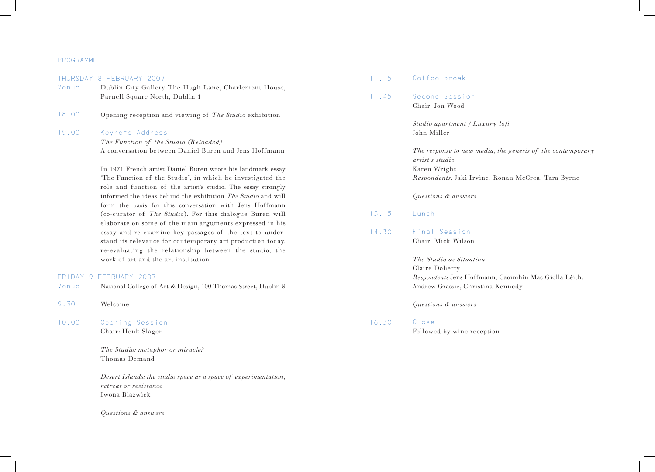#### PROGRAMME

#### THURSDAY 8 FEBRUARY 2007

- Venue Dublin City Gallery The Hugh Lane, Charlemont House, Parnell Square North, Dublin 1
- 18.00 Opening reception and viewing of *The Studio* exhibition

#### 19.00 Keynote Address

*The Function of the Studio (Reloaded)* A conversation between Daniel Buren and Jens Hoffmann

In 1971 French artist Daniel Buren wrote his landmark essay 'The Function of the Studio', in which he investigated the role and function of the artist's studio. The essay strongly informed the ideas behind the exhibition *The Studio* and will form the basis for this conversation with Jens Hoffmann (co-curator of *The Studio*). For this dialogue Buren will elaborate on some of the main arguments expressed in his essay and re-examine key passages of the text to understand its relevance for contemporary art production today, re-evaluating the relationship between the studio, the work of art and the art institution

#### FRIDAY 9 FEBRUARY 2007

- Venue National College of Art & Design, 100 Thomas Street, Dublin 8
- 9.30 Welcome
- 10.00 Opening Session Chair: Henk Slager

*The Studio: metaphor or miracle?* Thomas Demand

*Desert Islands: the studio space as a space of experimentation, retreat or resistance* Iwona Blazwick

*Questions & answers*

- 11.15 Coffee break
- 11.45 Second Session Chair: Jon Wood

*Studio apartment / Luxury loft* John Miller

*The response to new media, the genesis of the contemporary artist's studio* Karen Wright *Respondents:* Jaki Irvine, Ronan McCrea, Tara Byrne

*Questions & answers*

- 13.15 Lunch
- 14.30 Final Session Chair: Mick Wilson

*The Studio as Situation* Claire Doherty *Respondents* Jens Hoffmann, Caoimhín Mac Giolla Léith, Andrew Grassie, Christina Kennedy

*Questions & answers*

16.30 Close

Followed by wine reception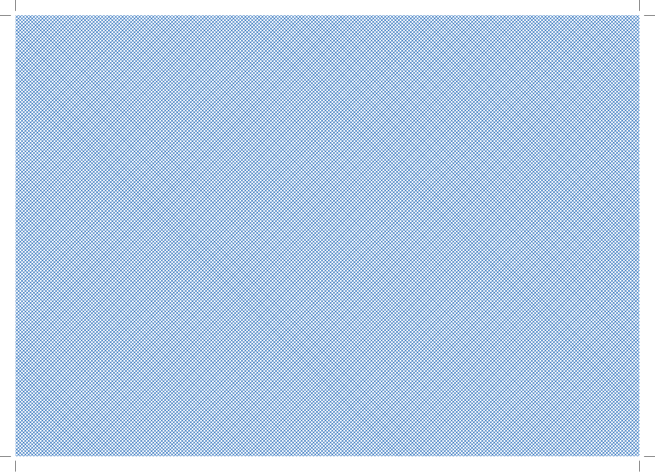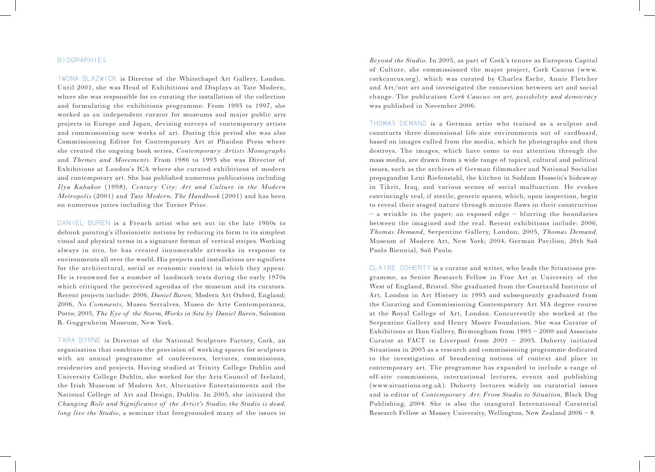#### **BIOGRAPHIES**

IWONA BLAZWICK is Director of the Whitechapel Art Gallery, London. Until 2001, she was Head of Exhibitions and Displays at Tate Modern, where she was responsible for co-curating the installation of the collection and formulating the exhibitions programme. From 1993 to 1997, she worked as an independent curator for museums and major public arts projects in Europe and Japan, devising surveys of contemporary artists and commissioning new works of art. During this period she was also Commissioning Editor for Contemporary Art at Phaidon Press where she created the ongoing book series, *Contemporary Artists Monographs*  and *Themes and Movements.* From 1986 to 1993 she was Director of Exhibitions at London's ICA where she curated exhibitions of modern and contemporary art. She has published numerous publications including *Ilya Kabakov* (1998), *Century City: Art and Culture in the Modern Metropolis* (2001) and *Tate Modern: The Handbook* (2001) and has been on numerous juries including the Turner Prize.

DANIEL BUREN is a French artist who set out in the late 1960s to debunk painting's illusionistic notions by reducing its form to its simplest visual and physical terms in a signature format of vertical stripes. Working always in situ, he has created innumerable artworks in response to environments all over the world. His projects and installations are signifiers for the architectural, social or economic context in which they appear. He is renowned for a number of landmark texts during the early 1970s which critiqued the perceived agendas of the museum and its curators. Recent projects include: 2006, *Daniel Buren*, Modern Art Oxford, England; 2006, *No Comments*, Museo Serralves, Museo de Arte Contemporanea, Porto; 2005, *The Eye of the Storm, Works in Situ by Daniel Buren*, Solomon R. Guggenheim Museum, New York.

TARA BYRNE is Director of the National Sculpture Factory, Cork, an organisation that combines the provision of working spaces for sculptors with an annual programme of conferences, lectures, commissions, residencies and projects. Having studied at Trinity College Dublin and University College Dublin, she worked for the Arts Council of Ireland, the Irish Museum of Modern Art, Alternative Entertainments and the National College of Art and Design, Dublin. In 2003, she initiated the *Changing Role and Significance of the Artist's Studio; the Studio is dead, long live the Studio*, a seminar that foregrounded many of the issues in

*Beyond the Studio*. In 2005, as part of Cork's tenure as European Capital of Culture, she commissioned the major project, Cork Caucus (www. corkcaucus.org), which was curated by Charles Esche, Annie Fletcher and Art/not art and investigated the connection between art and social change. The publication *Cork Caucus: on art, possibility and democracy*  was published in November 2006.

THOMAS DEMAND is a German artist who trained as a sculptor and constructs three-dimensional life-size environments out of cardboard, based on images culled from the media, which he photographs and then destroys. The images, which have come to our attention through the mass media, are drawn from a wide range of topical, cultural and political issues, such as the archives of German filmmaker and National Socialist propagandist Leni Riefenstahl, the kitchen in Saddam Hussein's hideaway in Tikrit, Iraq, and various scenes of social malfunction. He evokes convincingly real, if sterile, generic spaces, which, upon inspection, begin to reveal their staged nature through minute flaws in their construction  $-$  a wrinkle in the paper, an exposed edge  $-$  blurring the boundaries between the imagined and the real. Recent exhibitions include: 2006, *Thomas Demand*, Serpentine Gallery, London; 2005, *Thomas Demand*, Museum of Modern Art, New York; 2004, German Pavilion, 26th Saõ Paolo Biennial, Saõ Paulo.

 $CLAIRE$  DOHERTY is a curator and writer, who leads the Situations programme, as Senior Research Fellow in Fine Art at University of the West of England, Bristol. She graduated from the Courtauld Institute of Art, London in Art History in 1993 and subsequently graduated from the Curating and Commissioning Contemporary Art MA degree course at the Royal College of Art, London. Concurrently she worked at the Serpentine Gallery and Henry Moore Foundation. She was Curator of Exhibitions at Ikon Gallery, Birmingham from 1995 – 2000 and Associate Curator at FACT in Liverpool from 2001 – 2003. Doherty initiated Situations in 2003 as a research and commissioning programme dedicated to the investigation of broadening notions of context and place in contemporary art. The programme has expanded to include a range of off-site commissions, international lectures, events and publishing (www.situations.org.uk). Doherty lectures widely on curatorial issues and is editor of *Contemporary Art: From Studio to Situation*, Black Dog Publishing, 2004. She is also the inaugural International Curatorial Research Fellow at Massey University, Wellington, New Zealand 2006 – 8.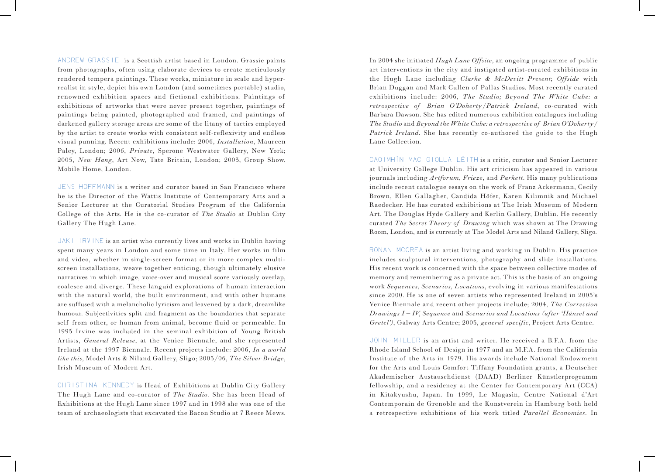ANDREW GRASSIE is a Scottish artist based in London. Grassie paints from photographs, often using elaborate devices to create meticulously rendered tempera paintings. These works, miniature in scale and hyperrealist in style, depict his own London (and sometimes portable) studio, renowned exhibition spaces and fictional exhibitions. Paintings of exhibitions of artworks that were never present together, paintings of paintings being painted, photographed and framed, and paintings of darkened gallery storage areas are some of the litany of tactics employed by the artist to create works with consistent self-reflexivity and endless visual punning. Recent exhibitions include: 2006, *Installation*, Maureen Paley, London; 2006, *Private*, Sperone Westwater Gallery, New York; 2005, *New Hang*, Art Now, Tate Britain, London; 2003, Group Show, Mobile Home, London.

JENS HOFFMANN is a writer and curator based in San Francisco where he is the Director of the Wattis Institute of Contemporary Arts and a Senior Lecturer at the Curatorial Studies Program of the California College of the Arts. He is the co-curator of *The Studio* at Dublin City Gallery The Hugh Lane.

 $JAKI$  IRVINE is an artist who currently lives and works in Dublin having spent many years in London and some time in Italy. Her works in film and video, whether in single-screen format or in more complex multiscreen installations, weave together enticing, though ultimately elusive narratives in which image, voice-over and musical score variously overlap, coalesce and diverge. These languid explorations of human interaction with the natural world, the built environment, and with other humans are suffused with a melancholic lyricism and leavened by a dark, dreamlike humour. Subjectivities split and fragment as the boundaries that separate self from other, or human from animal, become fluid or permeable. In 1995 Irvine was included in the seminal exhibition of Young British Artists, *General Release*, at the Venice Biennale, and she represented Ireland at the 1997 Biennale. Recent projects include: 2006, *In a world like this*, Model Arts & Niland Gallery, Sligo; 2005/06, *The Silver Bridge*, Irish Museum of Modern Art.

CHRISTINA KENNEDY is Head of Exhibitions at Dublin City Gallery The Hugh Lane and co-curator of *The Studio.* She has been Head of Exhibitions at the Hugh Lane since 1997 and in 1998 she was one of the team of archaeologists that excavated the Bacon Studio at 7 Reece Mews. In 2004 she initiated *Hugh Lane Offsite*, an ongoing programme of public art interventions in the city and instigated artist-curated exhibitions in the Hugh Lane including *Clarke & McDevitt Present*; *Offside* with Brian Duggan and Mark Cullen of Pallas Studios. Most recently curated exhibitions include: 2006, *The Studio; Beyond The White Cube: a retrospective of Brian O'Doherty/Patrick Ireland*, co-curated with Barbara Dawson. She has edited numerous exhibition catalogues including *The Studio* and *Beyond the White Cube: a retrospective of Brian O'Doherty/ Patrick Ireland*. She has recently co-authored the guide to the Hugh Lane Collection.

CAOIMHÍN MAC GIOLLA LÉITH is a critic, curator and Senior Lecturer at University College Dublin. His art criticism has appeared in various journals including *Artforum*, *Frieze*, and *Parkett*. His many publications include recent catalogue essays on the work of Franz Ackermann, Cecily Brown, Ellen Gallagher, Candida Höfer, Karen Kilimnik and Michael Raedecker. He has curated exhibitions at The Irish Museum of Modern Art, The Douglas Hyde Gallery and Kerlin Gallery, Dublin. He recently curated *The Secret Theory of Drawing* which was shown at The Drawing Room, London, and is currently at The Model Arts and Niland Gallery, Sligo.

RONAN MCCREA is an artist living and working in Dublin. His practice includes sculptural interventions, photography and slide installations. His recent work is concerned with the space between collective modes of memory and remembering as a private act. This is the basis of an ongoing work *Sequences, Scenarios, Locations*, evolving in various manifestations since 2000. He is one of seven artists who represented Ireland in 2005's Venice Biennale and recent other projects include; 2004, *The Correction Drawings I – IV, Sequence* and *Scenarios and Locations (after 'Hänsel and Gretel')*, Galway Arts Centre; 2003, *general-specific*, Project Arts Centre.

JOHN MILLER is an artist and writer. He received a B.F.A. from the Rhode Island School of Design in 1977 and an M.F.A. from the California Institute of the Arts in 1979. His awards include National Endowment for the Arts and Louis Comfort Tiffany Foundation grants, a Deutscher Akademischer Austauschdienst (DAAD) Berliner Künstlerprogramm fellowship, and a residency at the Center for Contemporary Art (CCA) in Kitakyushu, Japan. In 1999, Le Magasin, Centre National d'Art Contemporain de Grenoble and the Kunstverein in Hamburg both held a retrospective exhibitions of his work titled *Parallel Economies*. In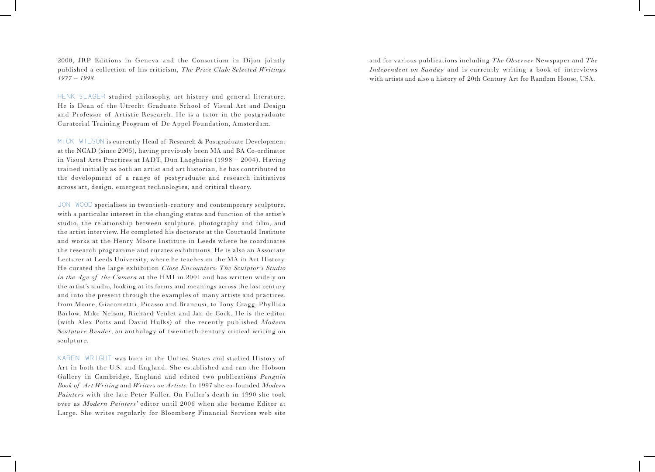2000, JRP Editions in Geneva and the Consortium in Dijon jointly published a collection of his criticism, *The Price Club: Selected Writings 1977 – 1998.*

HENK SLAGER studied philosophy, art history and general literature. He is Dean of the Utrecht Graduate School of Visual Art and Design and Professor of Artistic Research. He is a tutor in the postgraduate Curatorial Training Program of De Appel Foundation, Amsterdam.

MICK WILSON is currently Head of Research & Postgraduate Development at the NCAD (since 2005), having previously been MA and BA Co-ordinator in Visual Arts Practices at IADT, Dun Laoghaire (1998 – 2004). Having trained initially as both an artist and art historian, he has contributed to the development of a range of postgraduate and research initiatives across art, design, emergent technologies, and critical theory.

JON WOOD specialises in twentieth-century and contemporary sculpture, with a particular interest in the changing status and function of the artist's studio, the relationship between sculpture, photography and film, and the artist interview. He completed his doctorate at the Courtauld Institute and works at the Henry Moore Institute in Leeds where he coordinates the research programme and curates exhibitions. He is also an Associate Lecturer at Leeds University, where he teaches on the MA in Art History. He curated the large exhibition *Close Encounters: The Sculptor's Studio in the Age of the Camera* at the HMI in 2001 and has written widely on the artist's studio, looking at its forms and meanings across the last century and into the present through the examples of many artists and practices, from Moore, Giacomettti, Picasso and Brancusi, to Tony Cragg, Phyllida Barlow, Mike Nelson, Richard Venlet and Jan de Cock. He is the editor (with Alex Potts and David Hulks) of the recently published *Modern Sculpture Reader*, an anthology of twentieth-century critical writing on sculpture.

KAREN WRIGHT was born in the United States and studied History of Art in both the U.S. and England. She established and ran the Hobson Gallery in Cambridge, England and edited two publications *Penguin Book of Art Writing* and *Writers on Artists*. In 1997 she co-founded *Modern Painters* with the late Peter Fuller. On Fuller's death in 1990 she took over as *Modern Painters'* editor until 2006 when she became Editor at Large. She writes regularly for Bloomberg Financial Services web site

and for various publications including *The Observer* Newspaper and *The Independent on Sunday* and is currently writing a book of interviews with artists and also a history of 20th Century Art for Random House, USA.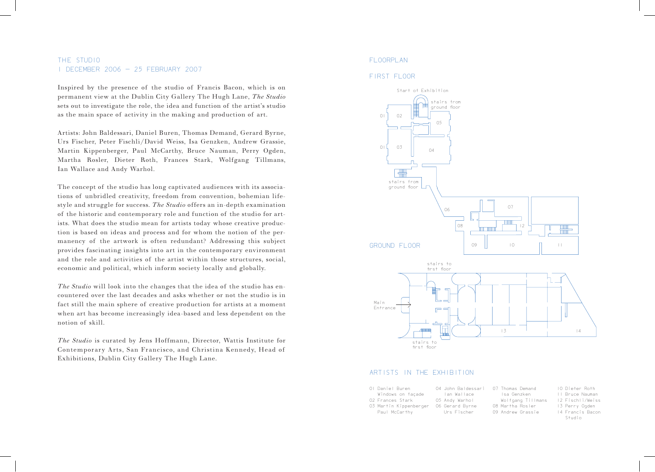# THE STUDIO 1 DECEMBER 2006 – 25 FEBRUARY 2007

Inspired by the presence of the studio of Francis Bacon, which is on permanent view at the Dublin City Gallery The Hugh Lane, *The Studio*  sets out to investigate the role, the idea and function of the artist's studio as the main space of activity in the making and production of art.

Artists: John Baldessari, Daniel Buren, Thomas Demand, Gerard Byrne, Urs Fischer, Peter Fischli/David Weiss, Isa Genzken, Andrew Grassie, Martin Kippenberger, Paul McCarthy, Bruce Nauman, Perry Ogden, Martha Rosler, Dieter Roth, Frances Stark, Wolfgang Tillmans, Ian Wallace and Andy Warhol.

The concept of the studio has long captivated audiences with its associations of unbridled creativity, freedom from convention, bohemian lifestyle and struggle for success. *The Studio* offers an in-depth examination of the historic and contemporary role and function of the studio for artists. What does the studio mean for artists today whose creative production is based on ideas and process and for whom the notion of the permanency of the artwork is often redundant? Addressing this subject provides fascinating insights into art in the contemporary environment and the role and activities of the artist within those structures, social, economic and political, which inform society locally and globally.

*The Studio* will look into the changes that the idea of the studio has encountered over the last decades and asks whether or not the studio is in fact still the main sphere of creative production for artists at a moment when art has become increasingly idea-based and less dependent on the notion of skill.

*The Studio* is curated by Jens Hoffmann, Director, Wattis Institute for Contemporary Arts, San Francisco, and Christina Kennedy, Head of Exhibitions, Dublin City Gallery The Hugh Lane.

#### FLOORPLAN

#### FIRST FLOOR



#### ARTISTS IN THE EXHIBITION

| Ol Daniel Buren        | 04 John Baldessari 07 Thomas Demand |                   | 10 Dieter Roth   |
|------------------------|-------------------------------------|-------------------|------------------|
| Windows on facade      | lan Wallace                         | Isa Genzken       | II Bruce Nauman  |
| 02 Frances Stark       | 05 Andy Warhol                      | Wolfgang Tillmans | 12 Fischli/Weiss |
| 03 Martin Kippenberger | 06 Gerard Byrne                     | 08 Martha Rosler  | 13 Perry Ogden   |
| Paul McCarthy          | Urs Fischer                         | 09 Andrew Grassie | 14 Francis Bacon |
|                        |                                     |                   | Studio           |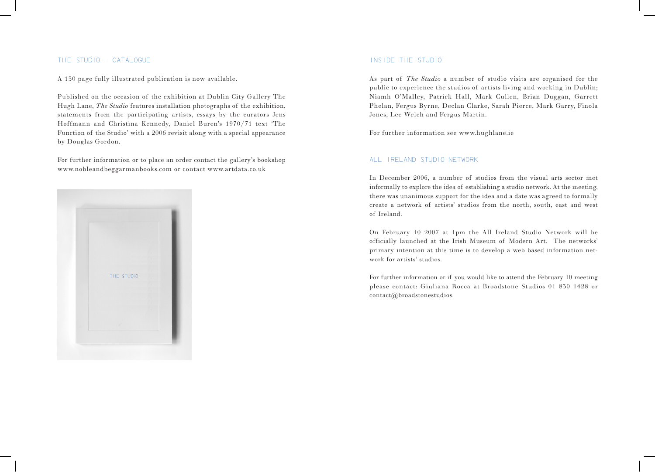#### THE STUDIO - CATALOGUE

A 130 page fully illustrated publication is now available.

Published on the occasion of the exhibition at Dublin City Gallery The Hugh Lane, *The Studio* features installation photographs of the exhibition, statements from the participating artists, essays by the curators Jens Hoffmann and Christina Kennedy, Daniel Buren's 1970/71 text 'The Function of the Studio' with a 2006 revisit along with a special appearance by Douglas Gordon.

For further information or to place an order contact the gallery's bookshop www.nobleandbeggarmanbooks.com or contact www.artdata.co.uk



### INSIDE THE STUDIO

As part of *The Studio* a number of studio visits are organised for the public to experience the studios of artists living and working in Dublin; Niamh O'Malley, Patrick Hall, Mark Cullen, Brian Duggan, Garrett Phelan, Fergus Byrne, Declan Clarke, Sarah Pierce, Mark Garry, Finola Jones, Lee Welch and Fergus Martin.

For further information see www.hughlane.ie

### ALL IRELAND STU DIO NETWORK

In December 2006, a number of studios from the visual arts sector met informally to explore the idea of establishing a studio network. At the meeting, there was unanimous support for the idea and a date was agreed to formally create a network of artists' studios from the north, south, east and west of Ireland.

On February 10 2007 at 1pm the All Ireland Studio Network will be officially launched at the Irish Museum of Modern Art. The networks' primary intention at this time is to develop a web based information network for artists' studios.

For further information or if you would like to attend the February 10 meeting please contact: Giuliana Rocca at Broadstone Studios 01 830 1428 or  $contact(\overline{a})$ broadstonestudios.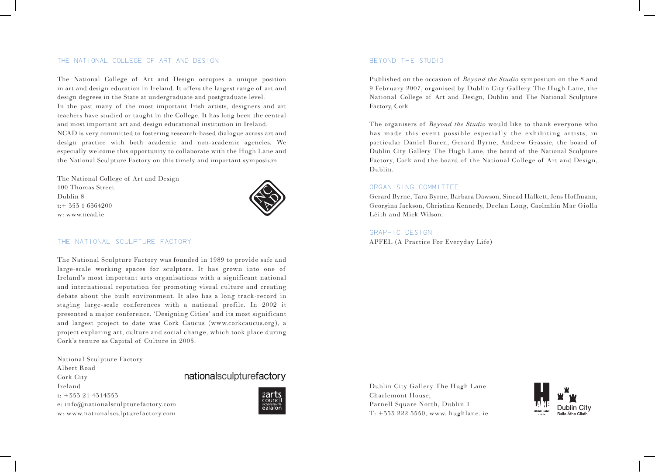#### THE NATIONAL COLLEGE OF ART AND DESIGN

The National College of Art and Design occupies a unique position in art and design education in Ireland. It offers the largest range of art and design degrees in the State at undergraduate and postgraduate level. In the past many of the most important Irish artists, designers and art teachers have studied or taught in the College. It has long been the central and most important art and design educational institution in Ireland. NCAD is very committed to fostering research-based dialogue across art and design practice with both academic and non-academic agencies. We especially welcome this opportunity to collaborate with the Hugh Lane and the National Sculpture Factory on this timely and important symposium.

The National College of Art and Design 100 Thomas Street Dublin 8 t:+ 353 1 6364200 w: www.ncad.ie



#### THE NATIONAL SCULPTURE FACTORY

The National Sculpture Factory was founded in 1989 to provide safe and large-scale working spaces for sculptors. It has grown into one of Ireland's most important arts organisations with a significant national and international reputation for promoting visual culture and creating debate about the built environment. It also has a long track-record in staging large-scale conferences with a national profile. In 2002 it presented a major conference, 'Designing Cities' and its most significant and largest project to date was Cork Caucus (www.corkcaucus.org), a project exploring art, culture and social change, which took place during Cork's tenure as Capital of Culture in 2005.

National Sculpture Factory Albert Road nationalsculpturefactory Cork City Ireland t: +353 21 4314353 e: info@nationalsculpturefactory.com w: www.nationalsculpturefactory.com



#### BEYOND THE STUDIO

Published on the occasion of *Beyond the Studio* symposium on the 8 and 9 February 2007, organised by Dublin City Gallery The Hugh Lane, the National College of Art and Design, Dublin and The National Sculpture Factory, Cork.

The organisers of *Beyond the Studio* would like to thank everyone who has made this event possible especially the exhibiting artists, in particular Daniel Buren, Gerard Byrne, Andrew Grassie, the board of Dublin City Gallery The Hugh Lane, the board of the National Sculpture Factory, Cork and the board of the National College of Art and Design, Dublin.

#### ORGANISING COMMITTEE

Gerard Byrne, Tara Byrne, Barbara Dawson, Sinead Halkett, Jens Hoffmann, Georgina Jackson, Christina Kennedy, Declan Long, Caoimhín Mac Giolla Léith and Mick Wilson.

# GRAPHIC DESIGN

APFEL (A Practice For Everyday Life)

Dublin City Gallery The Hugh Lane Charlemont House, Parnell Square North, Dublin 1 T: +353 222 5550, www. hughlane. ie